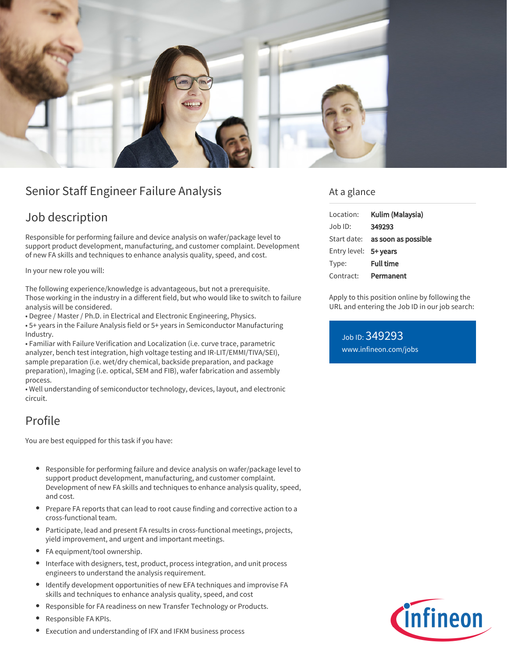

## Senior Staff Engineer Failure Analysis

## Job description

Responsible for performing failure and device analysis on wafer/package level to support product development, manufacturing, and customer complaint. Development of new FA skills and techniques to enhance analysis quality, speed, and cost.

In your new role you will:

The following experience/knowledge is advantageous, but not a prerequisite. Those working in the industry in a different field, but who would like to switch to failure analysis will be considered.

• Degree / Master / Ph.D. in Electrical and Electronic Engineering, Physics.

• 5+ years in the Failure Analysis field or 5+ years in Semiconductor Manufacturing Industry.

• Familiar with Failure Verification and Localization (i.e. curve trace, parametric analyzer, bench test integration, high voltage testing and IR-LIT/EMMI/TIVA/SEI), sample preparation (i.e. wet/dry chemical, backside preparation, and package preparation), Imaging (i.e. optical, SEM and FIB), wafer fabrication and assembly process.

• Well understanding of semiconductor technology, devices, layout, and electronic circuit.

## Profile

You are best equipped for this task if you have:

- Responsible for performing failure and device analysis on wafer/package level to support product development, manufacturing, and customer complaint. Development of new FA skills and techniques to enhance analysis quality, speed, and cost.
- Prepare FA reports that can lead to root cause finding and corrective action to a cross-functional team.
- Participate, lead and present FA results in cross-functional meetings, projects, yield improvement, and urgent and important meetings.
- FA equipment/tool ownership.
- Interface with designers, test, product, process integration, and unit process engineers to understand the analysis requirement.
- Identify development opportunities of new EFA techniques and improvise FA skills and techniques to enhance analysis quality, speed, and cost
- Responsible for FA readiness on new Transfer Technology or Products.
- Responsible FA KPIs.
- Execution and understanding of IFX and IFKM business process

### At a glance

| Location:             | Kulim (Malaysia)                       |
|-----------------------|----------------------------------------|
| Job ID:               | 349293                                 |
|                       | Start date: <b>as soon as possible</b> |
| Entry level: 5+ years |                                        |
| Type:                 | <b>Full time</b>                       |
| Contract:             | Permanent                              |

Apply to this position online by following the URL and entering the Job ID in our job search:

Job ID: 349293 [www.infineon.com/jobs](https://www.infineon.com/jobs)